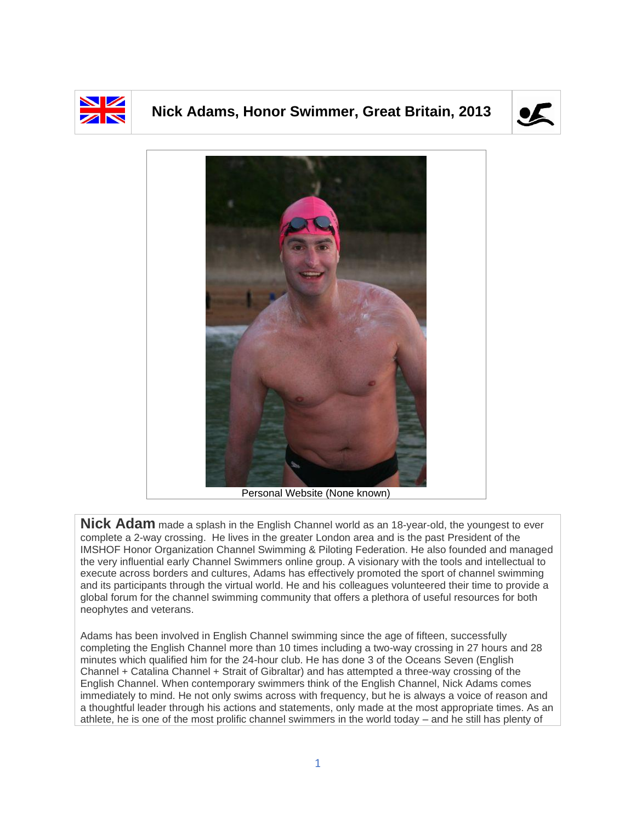

## **Nick Adams, Honor Swimmer, Great Britain, 2013**





**Nick Adam** made a splash in the English Channel world as an 18-year-old, the youngest to ever complete a 2-way crossing. He lives in the greater London area and is the past President of the IMSHOF Honor Organization Channel Swimming & Piloting Federation. He also founded and managed the very influential early Channel Swimmers online group. A visionary with the tools and intellectual to execute across borders and cultures, Adams has effectively promoted the sport of channel swimming and its participants through the virtual world. He and his colleagues volunteered their time to provide a global forum for the channel swimming community that offers a plethora of useful resources for both neophytes and veterans.

Adams has been involved in English Channel swimming since the age of fifteen, successfully completing the English Channel more than 10 times including a two-way crossing in 27 hours and 28 minutes which qualified him for the 24-hour club. He has done 3 of the Oceans Seven (English Channel + Catalina Channel + Strait of Gibraltar) and has attempted a three-way crossing of the English Channel. When contemporary swimmers think of the English Channel, Nick Adams comes immediately to mind. He not only swims across with frequency, but he is always a voice of reason and a thoughtful leader through his actions and statements, only made at the most appropriate times. As an athlete, he is one of the most prolific channel swimmers in the world today – and he still has plenty of